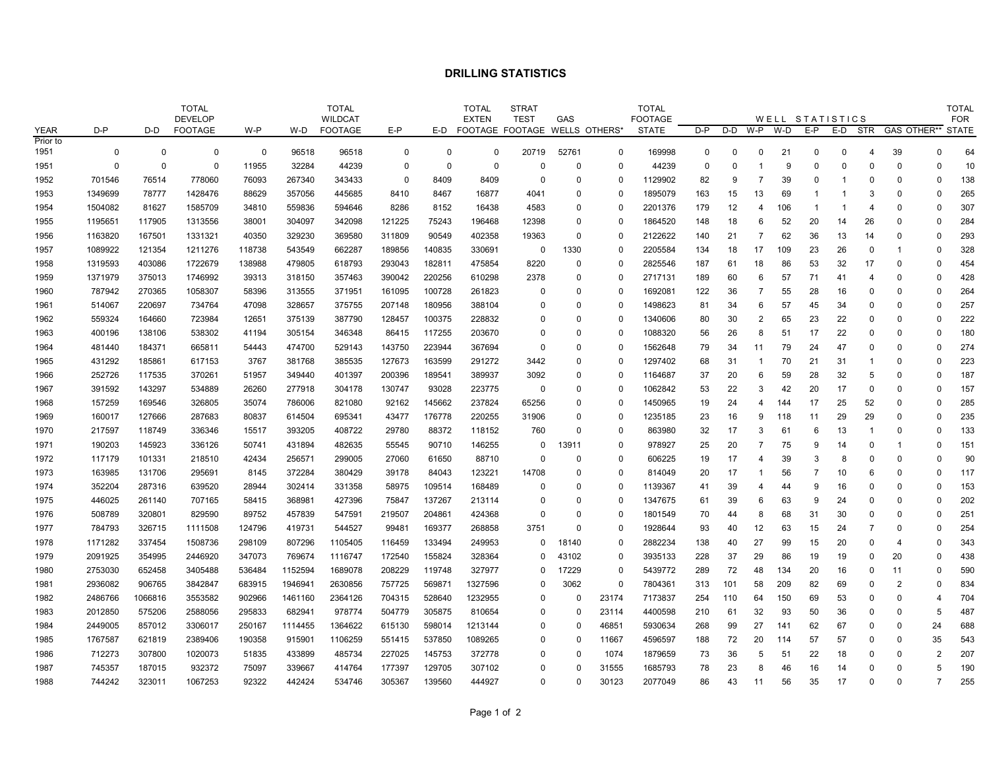## **DRILLING STATISTICS**

|             |             | <b>TOTAL</b><br><b>DEVELOP</b> |                |             |         | <b>TOTAL</b><br><b>WILDCAT</b> |             |          | <b>TOTAL</b><br><b>EXTEN</b>      | <b>STRAT</b><br><b>TEST</b> | GAS      |             | <b>TOTAL</b><br><b>FOOTAGE</b> |          |          |                |     | WELL STATISTICS |          |                | <b>TOTAL</b><br><b>FOR</b> |                |              |
|-------------|-------------|--------------------------------|----------------|-------------|---------|--------------------------------|-------------|----------|-----------------------------------|-----------------------------|----------|-------------|--------------------------------|----------|----------|----------------|-----|-----------------|----------|----------------|----------------------------|----------------|--------------|
| <b>YEAR</b> | $D - P$     | D-D                            | <b>FOOTAGE</b> | W-P         | W-D     | <b>FOOTAGE</b>                 | $E-P$       |          | E-D FOOTAGE FOOTAGE WELLS OTHERS* |                             |          |             | <b>STATE</b>                   | D-P      | D-D      | W-P            | W-D | E-P             | E-D      | STR            |                            | GAS OTHER**    | <b>STATE</b> |
| Prior to    |             |                                |                |             |         |                                |             |          |                                   |                             |          |             |                                |          |          |                |     |                 |          |                |                            |                |              |
| 1951        | $\mathbf 0$ | $\Omega$                       | $\mathbf 0$    | $\mathbf 0$ | 96518   | 96518                          | $\Omega$    | $\Omega$ | $\mathbf 0$                       | 20719                       | 52761    | $\mathbf 0$ | 169998                         | $\Omega$ | $\Omega$ | $\Omega$       | 21  | $\Omega$        | $\Omega$ | 4              | 39                         | $\Omega$       | 64           |
| 1951        | $\mathbf 0$ | 0                              | $\Omega$       | 11955       | 32284   | 44239                          | $\Omega$    | $\Omega$ | 0                                 | $\Omega$                    | $\Omega$ | $\Omega$    | 44239                          | $\Omega$ | $\Omega$ | -1             | 9   | $\Omega$        | $\Omega$ | O              | $\Omega$                   | $\Omega$       | 10           |
| 1952        | 701546      | 76514                          | 778060         | 76093       | 267340  | 343433                         | $\mathbf 0$ | 8409     | 8409                              | 0                           | $\Omega$ | 0           | 1129902                        | 82       | 9        | $\overline{7}$ | 39  | $\Omega$        | 1        | $\Omega$       | 0                          | $\mathbf 0$    | 138          |
| 1953        | 1349699     | 78777                          | 1428476        | 88629       | 357056  | 445685                         | 8410        | 8467     | 16877                             | 4041                        | $\Omega$ | $\Omega$    | 1895079                        | 163      | 15       | 13             | 69  | -1              | -1       | 3              | O                          | $\Omega$       | 265          |
| 1954        | 1504082     | 81627                          | 1585709        | 34810       | 559836  | 594646                         | 8286        | 8152     | 16438                             | 4583                        | $\Omega$ | 0           | 2201376                        | 179      | 12       | 4              | 106 | -1              | -1       | 4              | 0                          | $\Omega$       | 307          |
| 1955        | 1195651     | 117905                         | 1313556        | 38001       | 304097  | 342098                         | 121225      | 75243    | 196468                            | 12398                       | $\Omega$ | $\mathbf 0$ | 1864520                        | 148      | 18       | 6              | 52  | 20              | 14       | 26             | $\Omega$                   | $\Omega$       | 284          |
| 1956        | 1163820     | 167501                         | 1331321        | 40350       | 329230  | 369580                         | 311809      | 90549    | 402358                            | 19363                       | $\Omega$ | 0           | 2122622                        | 140      | 21       | $\overline{7}$ | 62  | 36              | 13       | 14             | $\Omega$                   | $\Omega$       | 293          |
| 1957        | 1089922     | 121354                         | 1211276        | 118738      | 543549  | 662287                         | 189856      | 140835   | 330691                            | 0                           | 1330     | 0           | 2205584                        | 134      | 18       | 17             | 109 | 23              | 26       | $\Omega$       | -1                         | $\Omega$       | 328          |
| 1958        | 1319593     | 403086                         | 1722679        | 138988      | 479805  | 618793                         | 293043      | 182811   | 475854                            | 8220                        | $\Omega$ | $\mathbf 0$ | 2825546                        | 187      | 61       | 18             | 86  | 53              | 32       | 17             | $\Omega$                   | $\Omega$       | 454          |
| 1959        | 1371979     | 375013                         | 1746992        | 39313       | 318150  | 357463                         | 390042      | 220256   | 610298                            | 2378                        | $\Omega$ | 0           | 2717131                        | 189      | 60       | 6              | 57  | 71              | 41       | 4              | $\Omega$                   | $\Omega$       | 428          |
| 1960        | 787942      | 270365                         | 1058307        | 58396       | 313555  | 371951                         | 161095      | 100728   | 261823                            | $\Omega$                    | $\Omega$ | $\mathbf 0$ | 1692081                        | 122      | 36       | $\overline{7}$ | 55  | 28              | 16       | $\Omega$       | $\Omega$                   | $\Omega$       | 264          |
| 1961        | 514067      | 220697                         | 734764         | 47098       | 328657  | 375755                         | 207148      | 180956   | 388104                            | $\Omega$                    | $\Omega$ | 0           | 1498623                        | 81       | 34       | 6              | 57  | 45              | 34       | <sup>0</sup>   | O                          | $\Omega$       | 257          |
| 1962        | 559324      | 164660                         | 723984         | 12651       | 375139  | 387790                         | 128457      | 100375   | 228832                            | 0                           | $\Omega$ | $\Omega$    | 1340606                        | 80       | 30       | $\overline{2}$ | 65  | 23              | 22       | $\Omega$       | 0                          | $\Omega$       | 222          |
| 1963        | 400196      | 138106                         | 538302         | 41194       | 305154  | 346348                         | 86415       | 117255   | 203670                            | <sup>0</sup>                | $\Omega$ | $\Omega$    | 1088320                        | 56       | 26       | 8              | 51  | 17              | 22       | O              | 0                          | $\Omega$       | 180          |
| 1964        | 481440      | 184371                         | 665811         | 54443       | 474700  | 529143                         | 143750      | 223944   | 367694                            | $\Omega$                    | $\Omega$ | $\mathbf 0$ | 1562648                        | 79       | 34       | 11             | 79  | 24              | 47       | $\Omega$       | 0                          | $\Omega$       | 274          |
| 1965        | 431292      | 185861                         | 617153         | 3767        | 381768  | 385535                         | 127673      | 163599   | 291272                            | 3442                        | $\Omega$ | 0           | 1297402                        | 68       | 31       | $\mathbf 1$    | 70  | 21              | 31       | $\mathbf 1$    | $\Omega$                   | $\Omega$       | 223          |
| 1966        | 252726      | 117535                         | 370261         | 51957       | 349440  | 401397                         | 200396      | 189541   | 389937                            | 3092                        | $\Omega$ | 0           | 1164687                        | 37       | 20       | 6              | 59  | 28              | 32       | 5              | O                          | $\Omega$       | 187          |
| 1967        | 391592      | 143297                         | 534889         | 26260       | 277918  | 304178                         | 130747      | 93028    | 223775                            | 0                           | $\Omega$ | $\mathbf 0$ | 1062842                        | 53       | 22       | 3              | 42  | 20              | 17       | $\Omega$       | $\Omega$                   | $\Omega$       | 157          |
| 1968        | 157259      | 169546                         | 326805         | 35074       | 786006  | 821080                         | 92162       | 145662   | 237824                            | 65256                       | $\Omega$ | $\mathbf 0$ | 1450965                        | 19       | 24       | $\overline{4}$ | 144 | 17              | 25       | 52             | $\Omega$                   | $\Omega$       | 285          |
| 1969        | 160017      | 127666                         | 287683         | 80837       | 614504  | 695341                         | 43477       | 176778   | 220255                            | 31906                       | $\Omega$ | 0           | 1235185                        | 23       | 16       | 9              | 118 | 11              | 29       | 29             | $\Omega$                   | $\Omega$       | 235          |
| 1970        | 217597      | 118749                         | 336346         | 15517       | 393205  | 408722                         | 29780       | 88372    | 118152                            | 760                         | $\Omega$ | 0           | 863980                         | 32       | 17       | 3              | 61  | 6               | 13       | $\overline{1}$ | $\Omega$                   | $\Omega$       | 133          |
| 1971        | 190203      | 145923                         | 336126         | 50741       | 431894  | 482635                         | 55545       | 90710    | 146255                            | 0                           | 13911    | $\Omega$    | 978927                         | 25       | 20       | $\overline{7}$ | 75  | 9               | 14       | $\Omega$       | 1                          | $\Omega$       | 151          |
| 1972        | 117179      | 101331                         | 218510         | 42434       | 256571  | 299005                         | 27060       | 61650    | 88710                             | $\Omega$                    | $\Omega$ | $\mathbf 0$ | 606225                         | 19       | 17       | 4              | 39  | 3               | 8        | 0              | $\Omega$                   | $\Omega$       | 90           |
| 1973        | 163985      | 131706                         | 295691         | 8145        | 372284  | 380429                         | 39178       | 84043    | 123221                            | 14708                       | $\Omega$ | 0           | 814049                         | 20       | 17       | -1             | 56  |                 | 10       | 6              | 0                          | $\Omega$       | 117          |
| 1974        | 352204      | 287316                         | 639520         | 28944       | 302414  | 331358                         | 58975       | 109514   | 168489                            | $\Omega$                    | $\Omega$ | 0           | 1139367                        | 41       | 39       | $\overline{4}$ | 44  | 9               | 16       | <sup>0</sup>   | $\Omega$                   | $\mathbf 0$    | 153          |
| 1975        | 446025      | 261140                         | 707165         | 58415       | 368981  | 427396                         | 75847       | 137267   | 213114                            | $\Omega$                    | $\Omega$ | $\mathbf 0$ | 1347675                        | 61       | 39       | 6              | 63  | 9               | 24       | $\Omega$       | O                          | $\Omega$       | 202          |
| 1976        | 508789      | 320801                         | 829590         | 89752       | 457839  | 547591                         | 219507      | 204861   | 424368                            | $\Omega$                    | $\Omega$ | 0           | 1801549                        | 70       | 44       | 8              | 68  | 31              | 30       | <sup>0</sup>   | O                          | $\Omega$       | 251          |
| 1977        | 784793      | 326715                         | 1111508        | 124796      | 419731  | 544527                         | 99481       | 169377   | 268858                            | 3751                        | $\Omega$ | $\mathbf 0$ | 1928644                        | 93       | 40       | 12             | 63  | 15              | 24       | 7              | $\Omega$                   | $\Omega$       | 254          |
| 1978        | 1171282     | 337454                         | 1508736        | 298109      | 807296  | 1105405                        | 116459      | 133494   | 249953                            | $\Omega$                    | 18140    | 0           | 2882234                        | 138      | 40       | 27             | 99  | 15              | 20       | 0              | 4                          | $\Omega$       | 343          |
| 1979        | 2091925     | 354995                         | 2446920        | 347073      | 769674  | 1116747                        | 172540      | 155824   | 328364                            | U                           | 43102    | 0           | 3935133                        | 228      | 37       | 29             | 86  | 19              | 19       | $\Omega$       | 20                         | $\mathbf 0$    | 438          |
| 1980        | 2753030     | 652458                         | 3405488        | 536484      | 1152594 | 1689078                        | 208229      | 119748   | 327977                            | 0                           | 17229    | 0           | 5439772                        | 289      | 72       | 48             | 134 | 20              | 16       | 0              | 11                         | $\Omega$       | 590          |
| 1981        | 2936082     | 906765                         | 3842847        | 683915      | 1946941 | 2630856                        | 757725      | 569871   | 1327596                           | <sup>0</sup>                | 3062     | $\mathbf 0$ | 7804361                        | 313      | 101      | 58             | 209 | 82              | 69       | 0              | 2                          | $\Omega$       | 834          |
| 1982        | 2486766     | 1066816                        | 3553582        | 902966      | 1461160 | 2364126                        | 704315      | 528640   | 1232955                           | 0                           | $\Omega$ | 23174       | 7173837                        | 254      | 110      | 64             | 150 | 69              | 53       | 0              | $\Omega$                   | $\overline{4}$ | 704          |
| 1983        | 2012850     | 575206                         | 2588056        | 295833      | 682941  | 978774                         | 504779      | 305875   | 810654                            | 0                           | $\Omega$ | 23114       | 4400598                        | 210      | 61       | 32             | 93  | 50              | 36       | 0              | $\Omega$                   | 5              | 487          |
| 1984        | 2449005     | 857012                         | 3306017        | 250167      | 1114455 | 1364622                        | 615130      | 598014   | 1213144                           | O                           | $\Omega$ | 46851       | 5930634                        | 268      | 99       | 27             | 141 | 62              | 67       | <sup>0</sup>   | O                          | 24             | 688          |
| 1985        | 1767587     | 621819                         | 2389406        | 190358      | 915901  | 1106259                        | 551415      | 537850   | 1089265                           | $\Omega$                    | $\Omega$ | 11667       | 4596597                        | 188      | 72       | 20             | 114 | 57              | 57       | $\Omega$       | 0                          | 35             | 543          |
| 1986        | 712273      | 307800                         | 1020073        | 51835       | 433899  | 485734                         | 227025      | 145753   | 372778                            | O                           | $\Omega$ | 1074        | 1879659                        | 73       | 36       | 5              | 51  | 22              | 18       | $\Omega$       | O                          | $\overline{2}$ | 207          |
| 1987        | 745357      | 187015                         | 932372         | 75097       | 339667  | 414764                         | 177397      | 129705   | 307102                            | 0                           | $\Omega$ | 31555       | 1685793                        | 78       | 23       | 8              | 46  | 16              | 14       | $\Omega$       | 0                          | 5              | 190          |
| 1988        | 744242      | 323011                         | 1067253        | 92322       | 442424  | 534746                         | 305367      | 139560   | 444927                            | $\Omega$                    | $\Omega$ | 30123       | 2077049                        | 86       | 43       | 11             | 56  | 35              | 17       | $\Omega$       | $\Omega$                   | $\overline{7}$ | 255          |